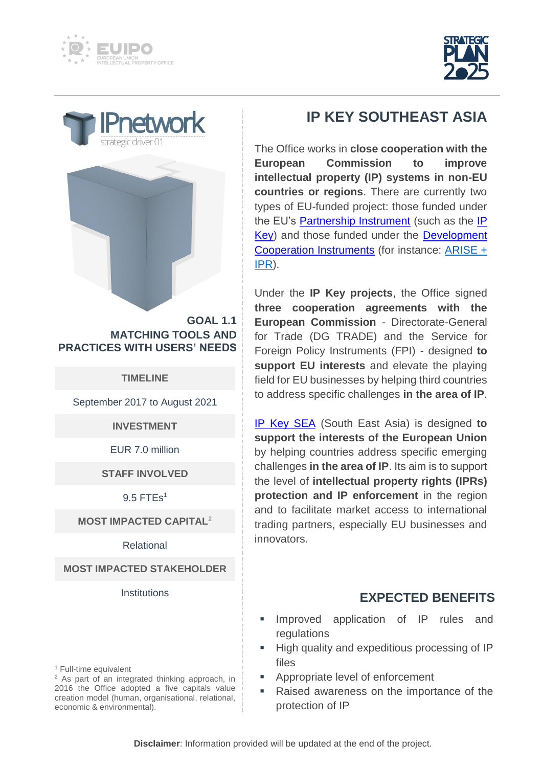







**GOAL 1.1 MATCHING TOOLS AND PRACTICES WITH USERS' NEEDS**

**TIMELINE**

September 2017 to August 2021

**INVESTMENT**

EUR 7.0 million

**STAFF INVOLVED**

9.5 FTEs<sup>1</sup>

## **MOST IMPACTED CAPITAL** 2

Relational

**MOST IMPACTED STAKEHOLDER**

**Institutions** 

<sup>1</sup> Full-time equivalent

<sup>2</sup> As part of an integrated thinking approach, in 2016 the Office adopted a five capitals value creation model (human, organisational, relational, economic & environmental).

## **IP KEY SOUTHEAST ASIA**

The Office works in **close cooperation with the European Commission to improve intellectual property (IP) systems in non-EU countries or regions**. There are currently two types of EU-funded project: those funded under the EU's [Partnership Instrument](https://ec.europa.eu/fpi/what-we-do/partnership-instrument-advancing-eus-core-interests_en) (such as the IP [Key\)](https://ipkey.eu/en) and those funded under the [Development](https://ec.europa.eu/info/aid-development-cooperation-fundamental-rights_en)  [Cooperation Instruments](https://ec.europa.eu/info/aid-development-cooperation-fundamental-rights_en) (for instance: [ARISE +](https://euipoeuf.eu/en/ariseplusipr/ip-information)  [IPR\)](https://euipoeuf.eu/en/ariseplusipr/ip-information).

Under the **IP Key projects**, the Office signed **three cooperation agreements with the European Commission** - Directorate-General for Trade (DG TRADE) and the Service for Foreign Policy Instruments (FPI) - designed **to support EU interests** and elevate the playing field for EU businesses by helping third countries to address specific challenges **in the area of IP**.

[IP Key SEA](https://ipkey.eu/en/south-east-asia) (South East Asia) is designed **to support the interests of the European Union** by helping countries address specific emerging challenges **in the area of IP**. Its aim is to support the level of **intellectual property rights (IPRs) protection and IP enforcement** in the region and to facilitate market access to international trading partners, especially EU businesses and innovators.

## **EXPECTED BENEFITS**

- Improved application of IP rules and regulations
- High quality and expeditious processing of IP files
- Appropriate level of enforcement
- Raised awareness on the importance of the protection of IP